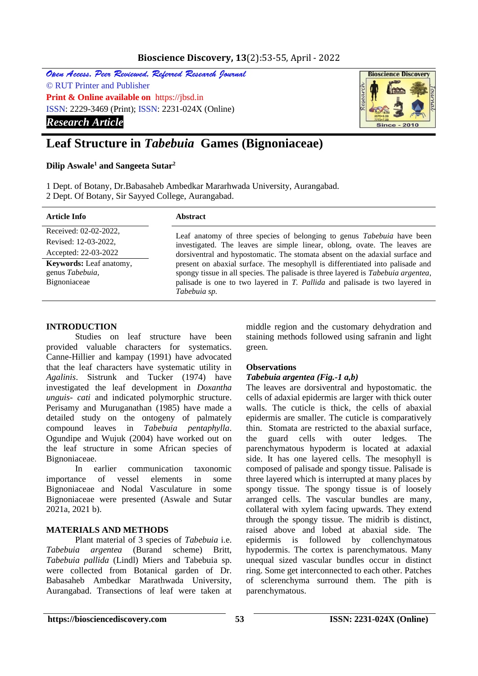## **Bioscience Discovery, 13**(2):53-55, April - 2022

Open Access, Peer Reviewed, Referred Research Journal © RUT Printer and Publisher **Print & Online available on** https://jbsd.in ISSN: 2229-3469 (Print); ISSN: 2231-024X (Online) *Research Article*



# **Leaf Structure in** *Tabebuia* **Games (Bignoniaceae)**

#### **Dilip Aswale<sup>1</sup> and Sangeeta Sutar<sup>2</sup>**

1 Dept. of Botany, Dr.Babasaheb Ambedkar Mararhwada University, Aurangabad. 2 Dept. Of Botany, Sir Sayyed College, Aurangabad.

| Article Info                                                      | <b>Abstract</b>                                                                                                                                                                                                                                                                                                                                                                                                                                                                                          |
|-------------------------------------------------------------------|----------------------------------------------------------------------------------------------------------------------------------------------------------------------------------------------------------------------------------------------------------------------------------------------------------------------------------------------------------------------------------------------------------------------------------------------------------------------------------------------------------|
| Received: 02-02-2022,<br>Revised: 12-03-2022,                     | Leaf anatomy of three species of belonging to genus Tabebuia have been<br>investigated. The leaves are simple linear, oblong, ovate. The leaves are<br>dorsiventral and hypostomatic. The stomata absent on the adaxial surface and<br>present on abaxial surface. The mesophyll is differentiated into palisade and<br>spongy tissue in all species. The palisade is three layered is Tabebuia argentea,<br>palisade is one to two layered in T. Pallida and palisade is two layered in<br>Tabebuia sp. |
| Accepted: 22-03-2022                                              |                                                                                                                                                                                                                                                                                                                                                                                                                                                                                                          |
| <b>Keywords:</b> Leaf anatomy,<br>genus Tabebuia,<br>Bignoniaceae |                                                                                                                                                                                                                                                                                                                                                                                                                                                                                                          |

#### **INTRODUCTION**

Studies on leaf structure have been provided valuable characters for systematics. Canne-Hillier and kampay (1991) have advocated that the leaf characters have systematic utility in *Agalinis*. Sistrunk and Tucker (1974) have investigated the leaf development in *Doxantha unguis- cati* and indicated polymorphic structure. Perisamy and Muruganathan (1985) have made a detailed study on the ontogeny of palmately compound leaves in *Tabebuia pentaphylla*. Ogundipe and Wujuk (2004) have worked out on the leaf structure in some African species of Bignoniaceae.

In earlier communication taxonomic importance of vessel elements in some Bignoniaceae and Nodal Vasculature in some Bignoniaceae were presented (Aswale and Sutar 2021a, 2021 b).

## **MATERIALS AND METHODS**

Plant material of 3 species of *Tabebuia* i.e. *Tabebuia argentea* (Burand scheme) Britt, *Tabebuia pallida* (Lindl) Miers and Tabebuia sp. were collected from Botanical garden of Dr. Babasaheb Ambedkar Marathwada University, Aurangabad. Transections of leaf were taken at

middle region and the customary dehydration and staining methods followed using safranin and light green.

## **Observations**

#### *Tabebuia argentea (Fig.-1 a,b)*

The leaves are dorsiventral and hypostomatic. the cells of adaxial epidermis are larger with thick outer walls. The cuticle is thick, the cells of abaxial epidermis are smaller. The cuticle is comparatively thin. Stomata are restricted to the abaxial surface, the guard cells with outer ledges. The parenchymatous hypoderm is located at adaxial side. It has one layered cells. The mesophyll is composed of palisade and spongy tissue. Palisade is three layered which is interrupted at many places by spongy tissue. The spongy tissue is of loosely arranged cells. The vascular bundles are many, collateral with xylem facing upwards. They extend through the spongy tissue. The midrib is distinct, raised above and lobed at abaxial side. The epidermis is followed by collenchymatous hypodermis. The cortex is parenchymatous. Many unequal sized vascular bundles occur in distinct ring. Some get interconnected to each other. Patches of sclerenchyma surround them. The pith is parenchymatous.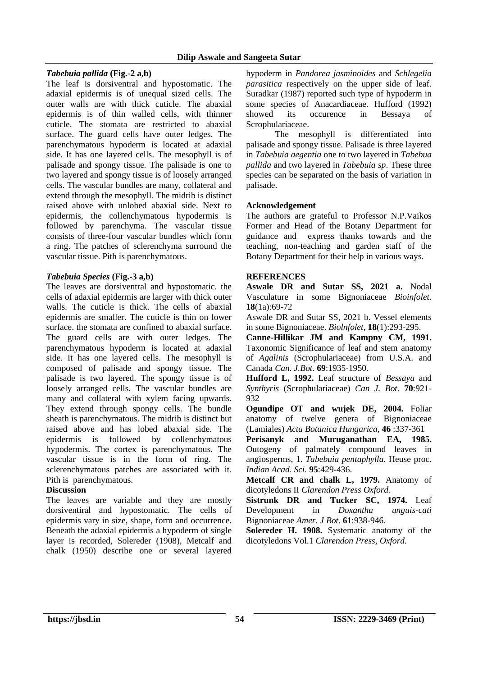#### **Dilip Aswale and Sangeeta Sutar**

## *Tabebuia pallida* **(Fig.-2 a,b)**

The leaf is dorsiventral and hypostomatic. The adaxial epidermis is of unequal sized cells. The outer walls are with thick cuticle. The abaxial epidermis is of thin walled cells, with thinner cuticle. The stomata are restricted to abaxial surface. The guard cells have outer ledges. The parenchymatous hypoderm is located at adaxial side. It has one layered cells. The mesophyll is of palisade and spongy tissue. The palisade is one to two layered and spongy tissue is of loosely arranged cells. The vascular bundles are many, collateral and extend through the mesophyll. The midrib is distinct raised above with unlobed abaxial side. Next to epidermis, the collenchymatous hypodermis is followed by parenchyma. The vascular tissue consists of three-four vascular bundles which form a ring. The patches of sclerenchyma surround the vascular tissue. Pith is parenchymatous.

## *Tabebuia Species* **(Fig.-3 a,b)**

The leaves are dorsiventral and hypostomatic. the cells of adaxial epidermis are larger with thick outer walls. The cuticle is thick. The cells of abaxial epidermis are smaller. The cuticle is thin on lower surface. the stomata are confined to abaxial surface. The guard cells are with outer ledges. The parenchymatous hypoderm is located at adaxial side. It has one layered cells. The mesophyll is composed of palisade and spongy tissue. The palisade is two layered. The spongy tissue is of loosely arranged cells. The vascular bundles are many and collateral with xylem facing upwards. They extend through spongy cells. The bundle sheath is parenchymatous. The midrib is distinct but raised above and has lobed abaxial side. The epidermis is followed by collenchymatous hypodermis. The cortex is parenchymatous. The vascular tissue is in the form of ring. The sclerenchymatous patches are associated with it. Pith is parenchymatous.

## **Discussion**

The leaves are variable and they are mostly dorsiventiral and hypostomatic. The cells of epidermis vary in size, shape, form and occurrence. Beneath the adaxial epidermis a hypoderm of single layer is recorded, Solereder (1908), Metcalf and chalk (1950) describe one or several layered

hypoderm in *Pandorea jasminoides* and *Schlegelia parasitica* respectively on the upper side of leaf. Suradkar (1987) reported such type of hypoderm in some species of Anacardiaceae. Hufford (1992) showed its occurence in Bessaya of Scrophulariaceae.

The mesophyll is differentiated into palisade and spongy tissue. Palisade is three layered in *Tabebuia aegentia* one to two layered in *Tabebua pallida* and two layered in *Tabebuia sp*. These three species can be separated on the basis of variation in palisade.

## **Acknowledgement**

The authors are grateful to Professor N.P.Vaikos Former and Head of the Botany Department for guidance and express thanks towards and the teaching, non-teaching and garden staff of the Botany Department for their help in various ways.

## **REFERENCES**

**Aswale DR and Sutar SS, 2021 a.** Nodal Vasculature in some Bignoniaceae *Bioinfolet.* **18**(1a):69-72

Aswale DR and Sutar SS, 2021 b. Vessel elements in some Bignoniaceae. *Biolnfolet,* **18**(1):293-295.

**Canne-Hillikar JM and Kampny CM, 1991.** Taxonomic Significance of leaf and stem anatomy of *Agalinis* (Scrophulariaceae) from U.S.A. and Canada *Can. J.Bot*. **69**:1935-1950.

**Hufford L, 1992.** Leaf structure of *Bessaya* and *Synthyris* (Scrophulariaceae) *Can J. Bot*. **70**:921- 932

**Ogundipe OT and wujek DE, 2004.** Foliar anatomy of twelve genera of Bignoniaceae (Lamiales) *Acta Botanica Hungarica,* **46** :337-361

**Perisanyk and Muruganathan EA, 1985.** Outogeny of palmately compound leaves in angiosperms, 1. *Tabebuia pentaphylla*. Heuse proc. *Indian Acad. Sci.* **95**:429-436.

**Metcalf CR and chalk L, 1979.** Anatomy of dicotyledons II *Clarendon Press Oxford.*

**Sistrunk DR and Tucker SC, 1974.** Leaf Development in *Doxantha unguis-cati* Bignoniaceae *Amer. J Bot*. **61**:938-946.

**Solereder H. 1908.** Systematic anatomy of the dicotyledons Vol.1 *Clarendon Press, Oxford.*